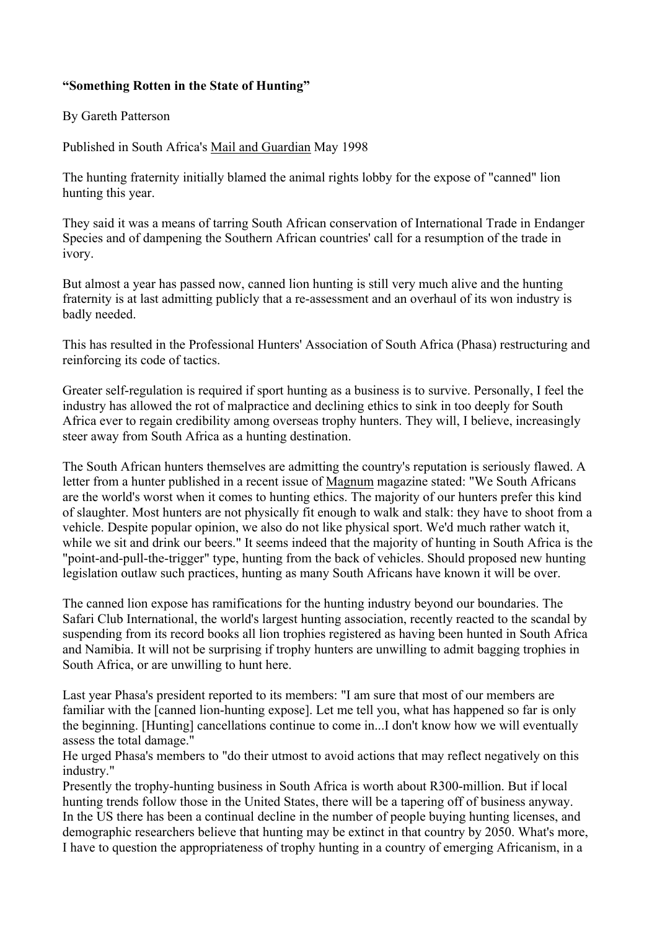## **"Something Rotten in the State of Hunting"**

## By Gareth Patterson

Published in South Africa's Mail and Guardian May 1998

The hunting fraternity initially blamed the animal rights lobby for the expose of "canned" lion hunting this year.

They said it was a means of tarring South African conservation of International Trade in Endanger Species and of dampening the Southern African countries' call for a resumption of the trade in ivory.

But almost a year has passed now, canned lion hunting is still very much alive and the hunting fraternity is at last admitting publicly that a re-assessment and an overhaul of its won industry is badly needed.

This has resulted in the Professional Hunters' Association of South Africa (Phasa) restructuring and reinforcing its code of tactics.

Greater self-regulation is required if sport hunting as a business is to survive. Personally, I feel the industry has allowed the rot of malpractice and declining ethics to sink in too deeply for South Africa ever to regain credibility among overseas trophy hunters. They will, I believe, increasingly steer away from South Africa as a hunting destination.

The South African hunters themselves are admitting the country's reputation is seriously flawed. A letter from a hunter published in a recent issue of Magnum magazine stated: "We South Africans are the world's worst when it comes to hunting ethics. The majority of our hunters prefer this kind of slaughter. Most hunters are not physically fit enough to walk and stalk: they have to shoot from a vehicle. Despite popular opinion, we also do not like physical sport. We'd much rather watch it, while we sit and drink our beers." It seems indeed that the majority of hunting in South Africa is the "point-and-pull-the-trigger" type, hunting from the back of vehicles. Should proposed new hunting legislation outlaw such practices, hunting as many South Africans have known it will be over.

The canned lion expose has ramifications for the hunting industry beyond our boundaries. The Safari Club International, the world's largest hunting association, recently reacted to the scandal by suspending from its record books all lion trophies registered as having been hunted in South Africa and Namibia. It will not be surprising if trophy hunters are unwilling to admit bagging trophies in South Africa, or are unwilling to hunt here.

Last year Phasa's president reported to its members: "I am sure that most of our members are familiar with the [canned lion-hunting expose]. Let me tell you, what has happened so far is only the beginning. [Hunting] cancellations continue to come in...I don't know how we will eventually assess the total damage."

He urged Phasa's members to "do their utmost to avoid actions that may reflect negatively on this industry."

Presently the trophy-hunting business in South Africa is worth about R300-million. But if local hunting trends follow those in the United States, there will be a tapering off of business anyway. In the US there has been a continual decline in the number of people buying hunting licenses, and demographic researchers believe that hunting may be extinct in that country by 2050. What's more, I have to question the appropriateness of trophy hunting in a country of emerging Africanism, in a